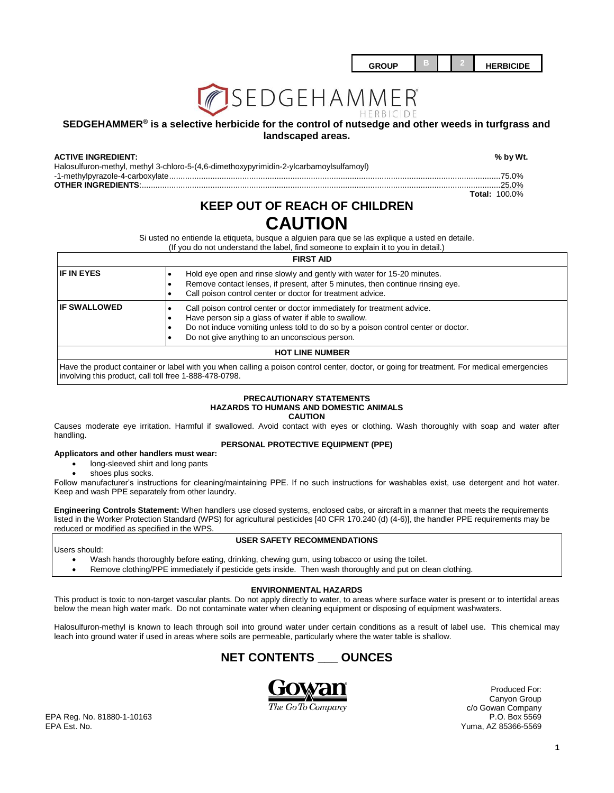| <b>GROUP</b> |  | <b>HERBICIDE</b> |
|--------------|--|------------------|
|              |  |                  |



### **SEDGEHAMMER® is a selective herbicide for the control of nutsedge and other weeds in turfgrass and landscaped areas.**

#### **ACTIVE INGREDIENT: % by Wt.**

Halosulfuron-methyl, methyl 3-chloro-5-(4,6-dimethoxypyrimidin-2-ylcarbamoylsulfamoyl) -1-methylpyrazole-4-carboxylate.................................................................................................................................................75.0% **OTHER INGREDIENTS**:.............................................................................................................................................................25.0%

**Total:** 100.0%

# **KEEP OUT OF REACH OF CHILDREN CAUTION**

Si usted no entiende la etiqueta, busque a alguien para que se las explique a usted en detaile.

(If you do not understand the label, find someone to explain it to you in detail.)

## **FIRST AID IF IN EYES IF IN EYES IF ALL A** Hold eye open and rinse slowly and gently with water for 15-20 minutes. Remove contact lenses, if present, after 5 minutes, then continue rinsing eye. Call poison control center or doctor for treatment advice. **IF SWALLOWED ight Call poison control center or doctor immediately for treatment advice.**  Have person sip a glass of water if able to swallow. Do not induce vomiting unless told to do so by a poison control center or doctor. Do not give anything to an unconscious person. **HOT LINE NUMBER** Have the product container or label with you when calling a poison control center, doctor, or going for treatment. For medical emergencies

involving this product, call toll free 1-888-478-0798.

#### **PRECAUTIONARY STATEMENTS HAZARDS TO HUMANS AND DOMESTIC ANIMALS CAUTION**

Causes moderate eye irritation. Harmful if swallowed. Avoid contact with eyes or clothing. Wash thoroughly with soap and water after handling.

## **PERSONAL PROTECTIVE EQUIPMENT (PPE)**

#### **Applicators and other handlers must wear:**

- long-sleeved shirt and long pants
- shoes plus socks.

Follow manufacturer's instructions for cleaning/maintaining PPE. If no such instructions for washables exist, use detergent and hot water. Keep and wash PPE separately from other laundry.

**Engineering Controls Statement:** When handlers use closed systems, enclosed cabs, or aircraft in a manner that meets the requirements listed in the Worker Protection Standard (WPS) for agricultural pesticides [40 CFR 170.240 (d) (4-6)], the handler PPE requirements may be reduced or modified as specified in the WPS.

**USER SAFETY RECOMMENDATIONS**

Users should:

- Wash hands thoroughly before eating, drinking, chewing gum, using tobacco or using the toilet.
- Remove clothing/PPE immediately if pesticide gets inside. Then wash thoroughly and put on clean clothing.

#### **ENVIRONMENTAL HAZARDS**

This product is toxic to non-target vascular plants. Do not apply directly to water, to areas where surface water is present or to intertidal areas below the mean high water mark. Do not contaminate water when cleaning equipment or disposing of equipment washwaters.

Halosulfuron-methyl is known to leach through soil into ground water under certain conditions as a result of label use. This chemical may leach into ground water if used in areas where soils are permeable, particularly where the water table is shallow.





Produced For: Canyon Group c/o Gowan Company

EPA Reg. No. 81880-1-10163 EPA Est. No. Yuma, AZ 85366-5569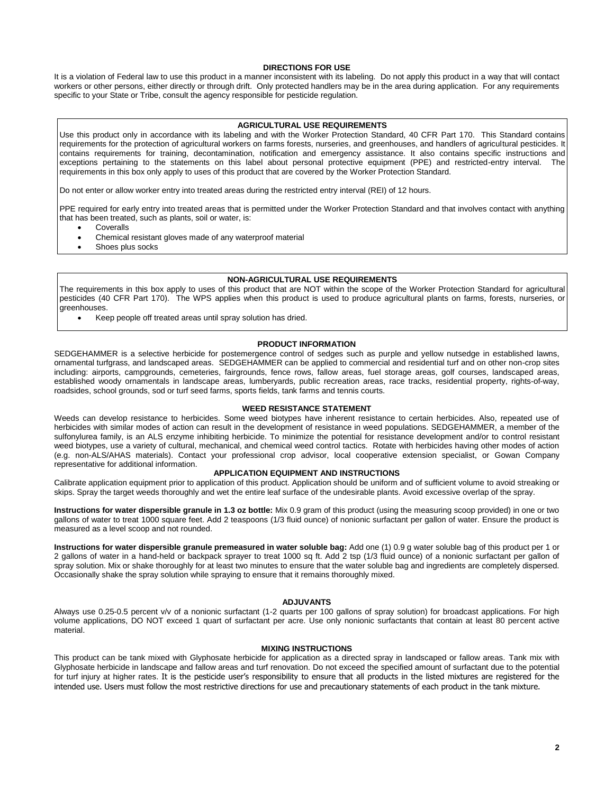#### **DIRECTIONS FOR USE**

It is a violation of Federal law to use this product in a manner inconsistent with its labeling. Do not apply this product in a way that will contact workers or other persons, either directly or through drift. Only protected handlers may be in the area during application. For any requirements specific to your State or Tribe, consult the agency responsible for pesticide regulation.

#### **AGRICULTURAL USE REQUIREMENTS**

Use this product only in accordance with its labeling and with the Worker Protection Standard, 40 CFR Part 170. This Standard contains requirements for the protection of agricultural workers on farms forests, nurseries, and greenhouses, and handlers of agricultural pesticides. It contains requirements for training, decontamination, notification and emergency assistance. It also contains specific instructions and exceptions pertaining to the statements on this label about personal protective equipment (PPE) and restricted-entry interval. The requirements in this box only apply to uses of this product that are covered by the Worker Protection Standard.

Do not enter or allow worker entry into treated areas during the restricted entry interval (REI) of 12 hours.

PPE required for early entry into treated areas that is permitted under the Worker Protection Standard and that involves contact with anything that has been treated, such as plants, soil or water, is:

- Coveralls
- Chemical resistant gloves made of any waterproof material
- Shoes plus socks

#### **NON-AGRICULTURAL USE REQUIREMENTS**

The requirements in this box apply to uses of this product that are NOT within the scope of the Worker Protection Standard for agricultural pesticides (40 CFR Part 170). The WPS applies when this product is used to produce agricultural plants on farms, forests, nurseries, or greenhouses.

Keep people off treated areas until spray solution has dried.

#### **PRODUCT INFORMATION**

SEDGEHAMMER is a selective herbicide for postemergence control of sedges such as purple and yellow nutsedge in established lawns, ornamental turfgrass, and landscaped areas. SEDGEHAMMER can be applied to commercial and residential turf and on other non-crop sites including: airports, campgrounds, cemeteries, fairgrounds, fence rows, fallow areas, fuel storage areas, golf courses, landscaped areas, established woody ornamentals in landscape areas, lumberyards, public recreation areas, race tracks, residential property, rights-of-way, roadsides, school grounds, sod or turf seed farms, sports fields, tank farms and tennis courts.

#### **WEED RESISTANCE STATEMENT**

Weeds can develop resistance to herbicides. Some weed biotypes have inherent resistance to certain herbicides. Also, repeated use of herbicides with similar modes of action can result in the development of resistance in weed populations. SEDGEHAMMER, a member of the sulfonylurea family, is an ALS enzyme inhibiting herbicide. To minimize the potential for resistance development and/or to control resistant weed biotypes, use a variety of cultural, mechanical, and chemical weed control tactics. Rotate with herbicides having other modes of action (e.g. non-ALS/AHAS materials). Contact your professional crop advisor, local cooperative extension specialist, or Gowan Company representative for additional information.

#### **APPLICATION EQUIPMENT AND INSTRUCTIONS**

Calibrate application equipment prior to application of this product. Application should be uniform and of sufficient volume to avoid streaking or skips. Spray the target weeds thoroughly and wet the entire leaf surface of the undesirable plants. Avoid excessive overlap of the spray.

**Instructions for water dispersible granule in 1.3 oz bottle:** Mix 0.9 gram of this product (using the measuring scoop provided) in one or two gallons of water to treat 1000 square feet. Add 2 teaspoons (1/3 fluid ounce) of nonionic surfactant per gallon of water. Ensure the product is measured as a level scoop and not rounded.

**Instructions for water dispersible granule premeasured in water soluble bag:** Add one (1) 0.9 g water soluble bag of this product per 1 or 2 gallons of water in a hand-held or backpack sprayer to treat 1000 sq ft. Add 2 tsp (1/3 fluid ounce) of a nonionic surfactant per gallon of spray solution. Mix or shake thoroughly for at least two minutes to ensure that the water soluble bag and ingredients are completely dispersed. Occasionally shake the spray solution while spraying to ensure that it remains thoroughly mixed.

#### **ADJUVANTS**

Always use 0.25-0.5 percent v/v of a nonionic surfactant (1-2 quarts per 100 gallons of spray solution) for broadcast applications. For high volume applications, DO NOT exceed 1 quart of surfactant per acre. Use only nonionic surfactants that contain at least 80 percent active material.

#### **MIXING INSTRUCTIONS**

This product can be tank mixed with Glyphosate herbicide for application as a directed spray in landscaped or fallow areas. Tank mix with Glyphosate herbicide in landscape and fallow areas and turf renovation. Do not exceed the specified amount of surfactant due to the potential for turf injury at higher rates. It is the pesticide user's responsibility to ensure that all products in the listed mixtures are registered for the intended use. Users must follow the most restrictive directions for use and precautionary statements of each product in the tank mixture.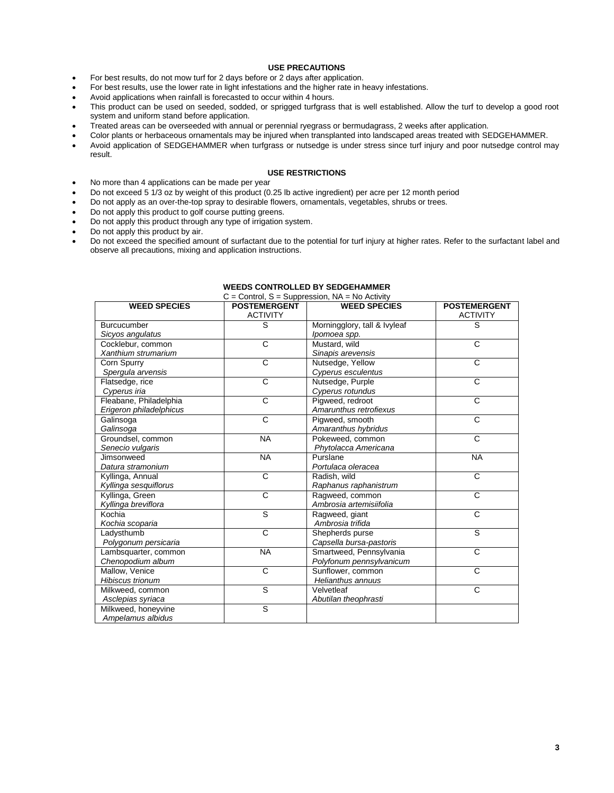## **USE PRECAUTIONS**

- For best results, do not mow turf for 2 days before or 2 days after application.
- For best results, use the lower rate in light infestations and the higher rate in heavy infestations.
- Avoid applications when rainfall is forecasted to occur within 4 hours.
- This product can be used on seeded, sodded, or sprigged turfgrass that is well established. Allow the turf to develop a good root system and uniform stand before application.
- Treated areas can be overseeded with annual or perennial ryegrass or bermudagrass, 2 weeks after application.
- Color plants or herbaceous ornamentals may be injured when transplanted into landscaped areas treated with SEDGEHAMMER.
- Avoid application of SEDGEHAMMER when turfgrass or nutsedge is under stress since turf injury and poor nutsedge control may result.

#### **USE RESTRICTIONS**

- No more than 4 applications can be made per year
- Do not exceed 5 1/3 oz by weight of this product (0.25 lb active ingredient) per acre per 12 month period
- Do not apply as an over-the-top spray to desirable flowers, ornamentals, vegetables, shrubs or trees.
- Do not apply this product to golf course putting greens.
- Do not apply this product through any type of irrigation system.
- Do not apply this product by air.
- Do not exceed the specified amount of surfactant due to the potential for turf injury at higher rates. Refer to the surfactant label and observe all precautions, mixing and application instructions.

| <b>WEED SPECIES</b>     | <b>POSTEMERGENT</b>   | <b>WEED SPECIES</b>          | <b>POSTEMERGENT</b>   |
|-------------------------|-----------------------|------------------------------|-----------------------|
|                         | <b>ACTIVITY</b>       |                              | <b>ACTIVITY</b>       |
| <b>Burcucumber</b>      | s                     | Morningglory, tall & Ivyleaf | S                     |
| Sicyos angulatus        |                       | Ipomoea spp.                 |                       |
| Cocklebur, common       | $\mathsf{C}$          | Mustard, wild                | $\mathsf{C}$          |
| Xanthium strumarium     |                       | Sinapis arevensis            |                       |
| Corn Spurry             | $\overline{\text{c}}$ | Nutsedge, Yellow             | $\overline{\text{c}}$ |
| Spergula arvensis       |                       | Cyperus esculentus           |                       |
| Flatsedge, rice         | $\overline{\text{c}}$ | Nutsedge, Purple             | $\overline{\text{c}}$ |
| Cyperus iria            |                       | Cyperus rotundus             |                       |
| Fleabane, Philadelphia  | $\mathsf{C}$          | Pigweed, redroot             | C                     |
| Erigeron philadelphicus |                       | Amarunthus retrofiexus       |                       |
| Galinsoga               | C                     | Pigweed, smooth              | C                     |
| Galinsoga               |                       | Amaranthus hybridus          |                       |
| Groundsel, common       | <b>NA</b>             | Pokeweed, common             | $\mathsf{C}$          |
| Senecio vulgaris        |                       | Phytolacca Americana         |                       |
| Jimsonweed              | <b>NA</b>             | Purslane                     | <b>NA</b>             |
| Datura stramonium       |                       | Portulaca oleracea           |                       |
| Kyllinga, Annual        | $\mathsf{C}$          | Radish, wild                 | $\mathsf{C}$          |
| Kyllinga sesquiflorus   |                       | Raphanus raphanistrum        |                       |
| Kyllinga, Green         | $\overline{\text{c}}$ | Ragweed, common              | $\overline{C}$        |
| Kyllinga breviflora     |                       | Ambrosia artemisiifolia      |                       |
| Kochia                  | $\overline{s}$        | Ragweed, giant               | $\overline{C}$        |
| Kochia scoparia         |                       | Ambrosia trifida             |                       |
| Ladysthumb              | $\overline{c}$        | Shepherds purse              | s                     |
| Polygonum persicaria    |                       | Capsella bursa-pastoris      |                       |
| Lambsquarter, common    | <b>NA</b>             | Smartweed, Pennsylvania      | $\overline{\text{c}}$ |
| Chenopodium album       |                       | Polyfonum pennsylvanicum     |                       |
| Mallow, Venice          | $\mathsf{C}$          | Sunflower, common            | C                     |
| <b>Hibiscus trionum</b> |                       | Helianthus annuus            |                       |
| Milkweed, common        | s                     | Velvetleaf                   | C                     |
| Asclepias syriaca       |                       | Abutilan theophrasti         |                       |
| Milkweed, honeyvine     | S                     |                              |                       |
| Ampelamus albidus       |                       |                              |                       |

# **WEEDS CONTROLLED BY SEDGEHAMMER**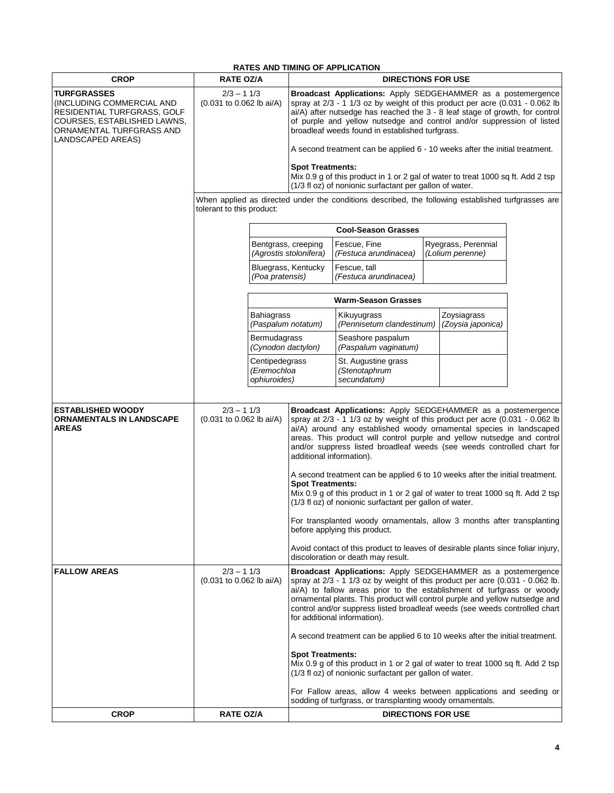| <b>RATES AND TIMING OF APPLICATION</b>                                                                                                                         |                                                                                                          |                                               |                                                                                                                                                                                                                                                                                                                                                                                                                                                                                                                                                                                                                                                                                                                                                                                                                                                                                                    |                                                     |  |                                         |  |
|----------------------------------------------------------------------------------------------------------------------------------------------------------------|----------------------------------------------------------------------------------------------------------|-----------------------------------------------|----------------------------------------------------------------------------------------------------------------------------------------------------------------------------------------------------------------------------------------------------------------------------------------------------------------------------------------------------------------------------------------------------------------------------------------------------------------------------------------------------------------------------------------------------------------------------------------------------------------------------------------------------------------------------------------------------------------------------------------------------------------------------------------------------------------------------------------------------------------------------------------------------|-----------------------------------------------------|--|-----------------------------------------|--|
| <b>CROP</b>                                                                                                                                                    | <b>RATE OZ/A</b>                                                                                         |                                               | <b>DIRECTIONS FOR USE</b>                                                                                                                                                                                                                                                                                                                                                                                                                                                                                                                                                                                                                                                                                                                                                                                                                                                                          |                                                     |  |                                         |  |
| <b>TURFGRASSES</b><br>(INCLUDING COMMERCIAL AND<br>RESIDENTIAL TURFGRASS, GOLF<br>COURSES, ESTABLISHED LAWNS,<br>ORNAMENTAL TURFGRASS AND<br>LANDSCAPED AREAS) | $2/3 - 11/3$<br>(0.031 to 0.062 lb ai/A)<br>tolerant to this product:                                    |                                               | Broadcast Applications: Apply SEDGEHAMMER as a postemergence<br>spray at 2/3 - 1 1/3 oz by weight of this product per acre (0.031 - 0.062 lb<br>ai/A) after nutsedge has reached the 3 - 8 leaf stage of growth, for control<br>of purple and yellow nutsedge and control and/or suppression of listed<br>broadleaf weeds found in established turfgrass.<br>A second treatment can be applied 6 - 10 weeks after the initial treatment.<br><b>Spot Treatments:</b><br>Mix 0.9 g of this product in 1 or 2 gal of water to treat 1000 sq ft. Add 2 tsp                                                                                                                                                                                                                                                                                                                                             |                                                     |  |                                         |  |
|                                                                                                                                                                |                                                                                                          |                                               | (1/3 fl oz) of nonionic surfactant per gallon of water.<br>When applied as directed under the conditions described, the following established turfgrasses are                                                                                                                                                                                                                                                                                                                                                                                                                                                                                                                                                                                                                                                                                                                                      |                                                     |  |                                         |  |
|                                                                                                                                                                |                                                                                                          |                                               | <b>Cool-Season Grasses</b>                                                                                                                                                                                                                                                                                                                                                                                                                                                                                                                                                                                                                                                                                                                                                                                                                                                                         |                                                     |  |                                         |  |
|                                                                                                                                                                |                                                                                                          |                                               | Bentgrass, creeping<br>(Agrostis stolonifera)                                                                                                                                                                                                                                                                                                                                                                                                                                                                                                                                                                                                                                                                                                                                                                                                                                                      | Fescue, Fine<br>(Festuca arundinacea)               |  | Ryegrass, Perennial<br>(Lolium perenne) |  |
|                                                                                                                                                                |                                                                                                          | (Poa pratensis)                               | Bluegrass, Kentucky                                                                                                                                                                                                                                                                                                                                                                                                                                                                                                                                                                                                                                                                                                                                                                                                                                                                                | Fescue, tall<br>(Festuca arundinacea)               |  |                                         |  |
|                                                                                                                                                                |                                                                                                          |                                               |                                                                                                                                                                                                                                                                                                                                                                                                                                                                                                                                                                                                                                                                                                                                                                                                                                                                                                    | <b>Warm-Season Grasses</b>                          |  |                                         |  |
|                                                                                                                                                                |                                                                                                          | <b>Bahiagrass</b><br>(Paspalum notatum)       |                                                                                                                                                                                                                                                                                                                                                                                                                                                                                                                                                                                                                                                                                                                                                                                                                                                                                                    | Kikuyugrass<br>(Pennisetum clandestinum)            |  | Zoysiagrass<br>(Zoysia japonica)        |  |
|                                                                                                                                                                |                                                                                                          | Bermudagrass<br>(Cynodon dactylon)            |                                                                                                                                                                                                                                                                                                                                                                                                                                                                                                                                                                                                                                                                                                                                                                                                                                                                                                    | Seashore paspalum<br>(Paspalum vaginatum)           |  |                                         |  |
|                                                                                                                                                                |                                                                                                          | Centipedegrass<br>(Eremochloa<br>ophiuroides) |                                                                                                                                                                                                                                                                                                                                                                                                                                                                                                                                                                                                                                                                                                                                                                                                                                                                                                    | St. Augustine grass<br>(Stenotaphrum<br>secundatum) |  |                                         |  |
| <b>ESTABLISHED WOODY</b><br><b>ORNAMENTALS IN LANDSCAPE</b><br><b>AREAS</b>                                                                                    | $2/3 - 11/3$<br>(0.031 to 0.062 lb ai/A)<br>$2/3 - 11/3$<br>(0.031 to 0.062 lb ai/A)<br><b>RATE OZ/A</b> |                                               | Broadcast Applications: Apply SEDGEHAMMER as a postemergence<br>spray at 2/3 - 1 1/3 oz by weight of this product per acre (0.031 - 0.062 lb<br>ai/A) around any established woody ornamental species in landscaped<br>areas. This product will control purple and yellow nutsedge and control<br>and/or suppress listed broadleaf weeds (see weeds controlled chart for<br>additional information).<br>A second treatment can be applied 6 to 10 weeks after the initial treatment.<br><b>Spot Treatments:</b><br>Mix 0.9 g of this product in 1 or 2 gal of water to treat 1000 sq ft. Add 2 tsp<br>(1/3 fl oz) of nonionic surfactant per gallon of water.<br>For transplanted woody ornamentals, allow 3 months after transplanting<br>before applying this product.<br>Avoid contact of this product to leaves of desirable plants since foliar injury,<br>discoloration or death may result. |                                                     |  |                                         |  |
| <b>FALLOW AREAS</b>                                                                                                                                            |                                                                                                          |                                               | Broadcast Applications: Apply SEDGEHAMMER as a postemergence<br>spray at 2/3 - 1 1/3 oz by weight of this product per acre (0.031 - 0.062 lb.<br>ai/A) to fallow areas prior to the establishment of turfqrass or woody<br>ornamental plants. This product will control purple and yellow nutsedge and<br>control and/or suppress listed broadleaf weeds (see weeds controlled chart<br>for additional information).<br>A second treatment can be applied 6 to 10 weeks after the initial treatment.<br><b>Spot Treatments:</b><br>Mix 0.9 g of this product in 1 or 2 gal of water to treat 1000 sq ft. Add 2 tsp<br>(1/3 fl oz) of nonionic surfactant per gallon of water.<br>For Fallow areas, allow 4 weeks between applications and seeding or                                                                                                                                               |                                                     |  |                                         |  |
| <b>CROP</b>                                                                                                                                                    |                                                                                                          |                                               | sodding of turfgrass, or transplanting woody ornamentals.<br><b>DIRECTIONS FOR USE</b>                                                                                                                                                                                                                                                                                                                                                                                                                                                                                                                                                                                                                                                                                                                                                                                                             |                                                     |  |                                         |  |
|                                                                                                                                                                |                                                                                                          |                                               |                                                                                                                                                                                                                                                                                                                                                                                                                                                                                                                                                                                                                                                                                                                                                                                                                                                                                                    |                                                     |  |                                         |  |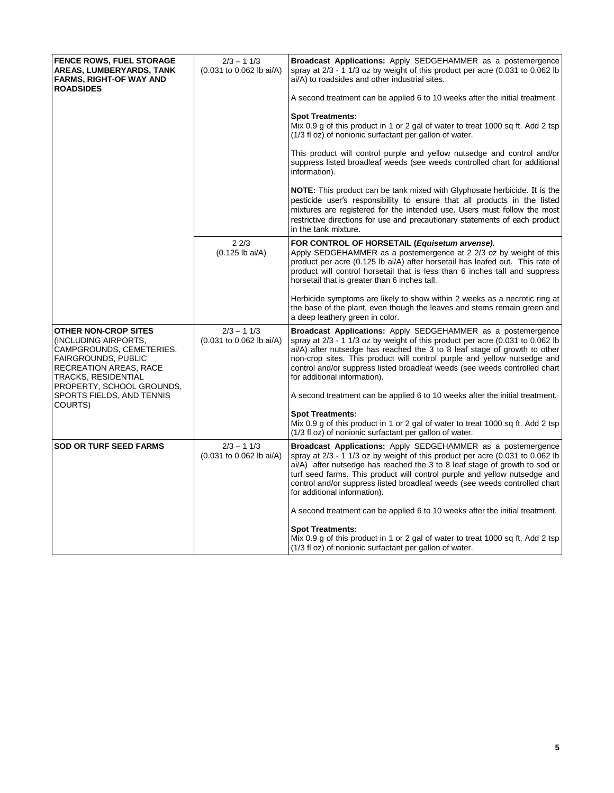| <b>FENCE ROWS, FUEL STORAGE</b><br>AREAS, LUMBERYARDS, TANK<br><b>FARMS, RIGHT-OF WAY AND</b><br><b>ROADSIDES</b>                                                                                  | $2/3 - 11/3$<br>(0.031 to 0.062 lb ai/A) | <b>Broadcast Applications:</b> Apply SEDGEHAMMER as a postemergence<br>spray at $2/3$ - 1 1/3 oz by weight of this product per acre $(0.031$ to 0.062 lb<br>ai/A) to roadsides and other industrial sites.                                                                                                                                                                                                                         |
|----------------------------------------------------------------------------------------------------------------------------------------------------------------------------------------------------|------------------------------------------|------------------------------------------------------------------------------------------------------------------------------------------------------------------------------------------------------------------------------------------------------------------------------------------------------------------------------------------------------------------------------------------------------------------------------------|
|                                                                                                                                                                                                    |                                          | A second treatment can be applied 6 to 10 weeks after the initial treatment.                                                                                                                                                                                                                                                                                                                                                       |
|                                                                                                                                                                                                    |                                          | <b>Spot Treatments:</b><br>Mix 0.9 g of this product in 1 or 2 gal of water to treat 1000 sq ft. Add 2 tsp<br>(1/3 fl oz) of nonionic surfactant per gallon of water.                                                                                                                                                                                                                                                              |
|                                                                                                                                                                                                    |                                          | This product will control purple and yellow nutsedge and control and/or<br>suppress listed broadleaf weeds (see weeds controlled chart for additional<br>information).                                                                                                                                                                                                                                                             |
|                                                                                                                                                                                                    |                                          | <b>NOTE:</b> This product can be tank mixed with Glyphosate herbicide. It is the<br>pesticide user's responsibility to ensure that all products in the listed<br>mixtures are registered for the intended use. Users must follow the most<br>restrictive directions for use and precautionary statements of each product<br>in the tank mixture.                                                                                   |
|                                                                                                                                                                                                    | 22/3<br>$(0.125$ lb ai/A)                | FOR CONTROL OF HORSETAIL (Equisetum arvense).<br>Apply SEDGEHAMMER as a postemergence at 2 2/3 oz by weight of this<br>product per acre (0.125 lb ai/A) after horsetail has leafed out. This rate of<br>product will control horsetail that is less than 6 inches tall and suppress<br>horsetail that is greater than 6 inches tall.                                                                                               |
|                                                                                                                                                                                                    |                                          | Herbicide symptoms are likely to show within 2 weeks as a necrotic ring at<br>the base of the plant, even though the leaves and stems remain green and<br>a deep leathery green in color.                                                                                                                                                                                                                                          |
| <b>OTHER NON-CROP SITES</b><br>(INCLUDING AIRPORTS,<br>CAMPGROUNDS, CEMETERIES,<br><b>FAIRGROUNDS, PUBLIC</b><br><b>RECREATION AREAS, RACE</b><br>TRACKS, RESIDENTIAL<br>PROPERTY, SCHOOL GROUNDS, | $2/3 - 11/3$<br>(0.031 to 0.062 lb ai/A) | <b>Broadcast Applications:</b> Apply SEDGEHAMMER as a postemergence<br>spray at $2/3$ - 1 1/3 oz by weight of this product per acre $(0.031$ to 0.062 lb<br>$ai/A$ ) after nutsedge has reached the 3 to 8 leaf stage of growth to other<br>non-crop sites. This product will control purple and yellow nutsedge and<br>control and/or suppress listed broadleaf weeds (see weeds controlled chart<br>for additional information). |
| SPORTS FIELDS, AND TENNIS                                                                                                                                                                          |                                          | A second treatment can be applied 6 to 10 weeks after the initial treatment.                                                                                                                                                                                                                                                                                                                                                       |
| COURTS)                                                                                                                                                                                            |                                          | <b>Spot Treatments:</b><br>Mix 0.9 g of this product in 1 or 2 gal of water to treat 1000 sq ft. Add 2 tsp<br>(1/3 fl oz) of nonionic surfactant per gallon of water.                                                                                                                                                                                                                                                              |
| <b>SOD OR TURF SEED FARMS</b>                                                                                                                                                                      | $2/3 - 11/3$<br>(0.031 to 0.062 lb ai/A) | <b>Broadcast Applications:</b> Apply SEDGEHAMMER as a postemergence<br>spray at 2/3 - 1 1/3 oz by weight of this product per acre (0.031 to 0.062 lb<br>ai/A) after nutsedge has reached the 3 to 8 leaf stage of growth to sod or<br>turf seed farms. This product will control purple and yellow nutsedge and<br>control and/or suppress listed broadleaf weeds (see weeds controlled chart<br>for additional information).      |
|                                                                                                                                                                                                    |                                          | A second treatment can be applied 6 to 10 weeks after the initial treatment.                                                                                                                                                                                                                                                                                                                                                       |
|                                                                                                                                                                                                    |                                          | <b>Spot Treatments:</b><br>Mix 0.9 g of this product in 1 or 2 gal of water to treat 1000 sq ft. Add 2 tsp<br>(1/3 fl oz) of nonionic surfactant per gallon of water.                                                                                                                                                                                                                                                              |